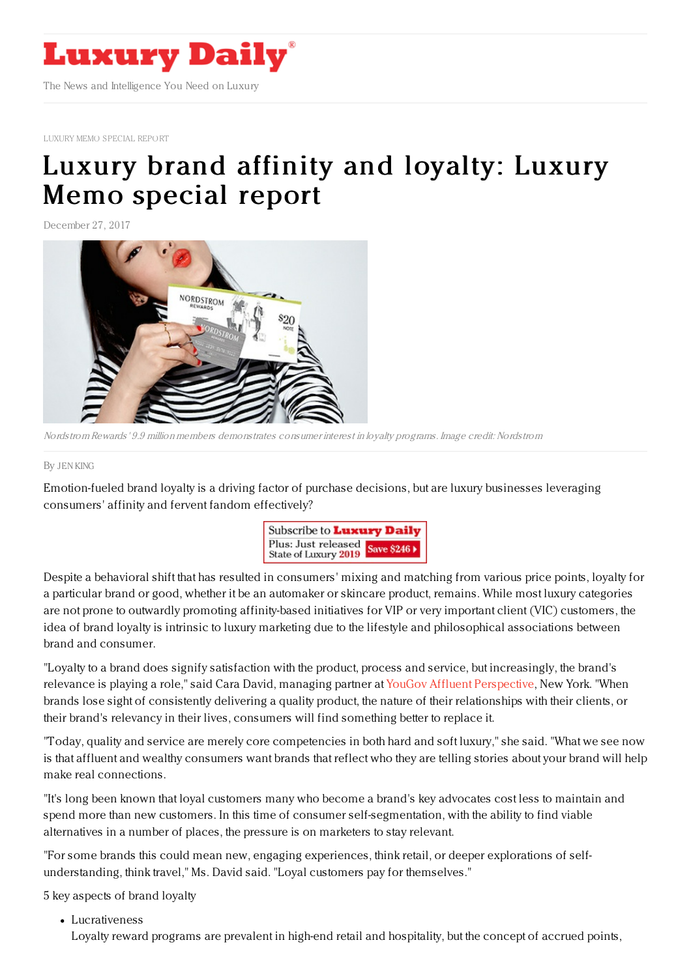

LUXURY MEMO [SPECIAL](https://www.luxurydaily.com/luxury-brand-affinity-and-loyalty-luxury-memo-special-report/) REPORT

# Luxury brand affinity and [loyalty:](https://www.luxurydaily.com/luxury-brand-affinity-and-loyalty-luxury-memo-special-report-4/) Luxury Memo special report

December 27, 2017



Nordstrom Rewards' 9.9 million members demonstrates consumer interest in loyalty programs. Image credit: Nordstrom

#### By JEN [KING](file:///author/jen-king)

Emotion-fueled brand loyalty is a driving factor of purchase decisions, but are luxury businesses leveraging consumers' affinity and fervent fandom effectively?



Despite a behavioral shift that has resulted in consumers' mixing and matching from various price points, loyalty for a particular brand or good, whether it be an automaker or skincare product, remains. While most luxury categories are not prone to outwardly promoting affinity-based initiatives for VIP or very important client (VIC) customers, the idea of brand loyalty is intrinsic to luxury marketing due to the lifestyle and philosophical associations between brand and consumer.

"Loyalty to a brand does signify satisfaction with the product, process and service, but increasingly, the brand's relevance is playing a role," said Cara David, managing partner at YouGov Affluent [Perspective](http://www.yougov.com), New York. "When brands lose sight of consistently delivering a quality product, the nature of their relationships with their clients, or their brand's relevancy in their lives, consumers will find something better to replace it.

"Today, quality and service are merely core competencies in both hard and soft luxury," she said. "What we see now is that affluent and wealthy consumers want brands that reflect who they are telling stories about your brand will help make real connections.

"It's long been known that loyal customers many who become a brand's key advocates cost less to maintain and spend more than new customers. In this time of consumer self-segmentation, with the ability to find viable alternatives in a number of places, the pressure is on marketers to stay relevant.

"For some brands this could mean new, engaging experiences, think retail, or deeper explorations of selfunderstanding, think travel," Ms. David said. "Loyal customers pay for themselves."

5 key aspects of brand loyalty

Lucrativeness

Loyalty reward programs are prevalent in high-end retail and hospitality, but the concept of accrued points,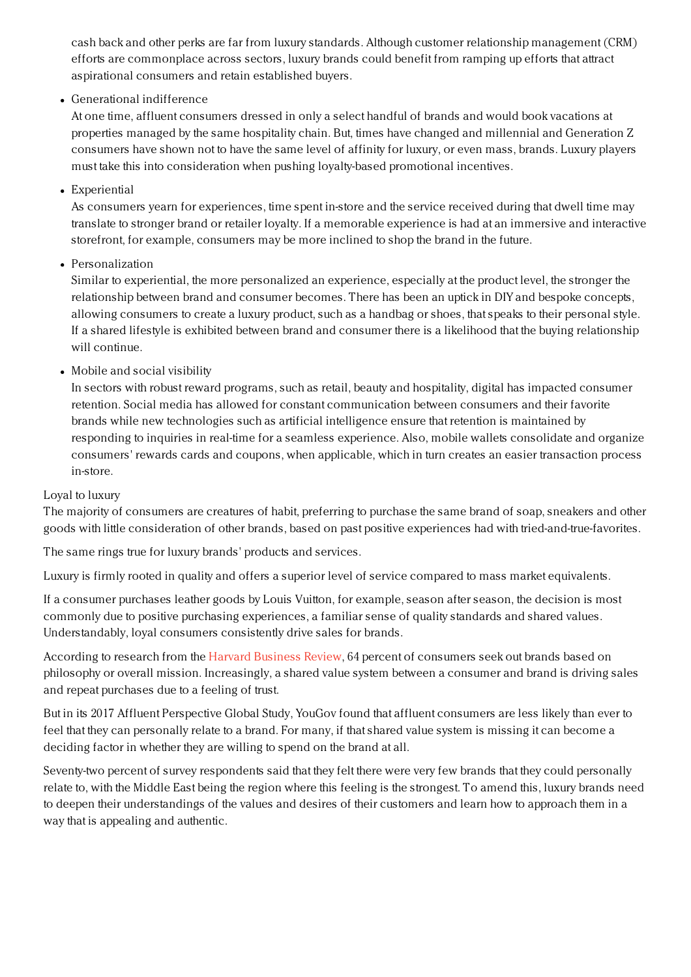cash back and other perks are far from luxury standards. Although customer relationship management (CRM) efforts are commonplace across sectors, luxury brands could benefit from ramping up efforts that attract aspirational consumers and retain established buyers.

Generational indifference

At one time, affluent consumers dressed in only a select handful of brands and would book vacations at properties managed by the same hospitality chain. But, times have changed and millennial and Generation Z consumers have shown not to have the same level of affinity for luxury, or even mass, brands. Luxury players must take this into consideration when pushing loyalty-based promotional incentives.

Experiential

As consumers yearn for experiences, time spent in-store and the service received during that dwell time may translate to stronger brand or retailer loyalty. If a memorable experience is had at an immersive and interactive storefront, for example, consumers may be more inclined to shop the brand in the future.

Personalization

Similar to experiential, the more personalized an experience, especially at the product level, the stronger the relationship between brand and consumer becomes. There has been an uptick in DIY and bespoke concepts, allowing consumers to create a luxury product, such as a handbag or shoes, that speaks to their personal style. If a shared lifestyle is exhibited between brand and consumer there is a likelihood that the buying relationship will continue.

Mobile and social visibility

In sectors with robust reward programs, such as retail, beauty and hospitality, digital has impacted consumer retention. Social media has allowed for constant communication between consumers and their favorite brands while new technologies such as artificial intelligence ensure that retention is maintained by responding to inquiries in real-time for a seamless experience. Also, mobile wallets consolidate and organize consumers' rewards cards and coupons, when applicable, which in turn creates an easier transaction process in-store.

## Loyal to luxury

The majority of consumers are creatures of habit, preferring to purchase the same brand of soap, sneakers and other goods with little consideration of other brands, based on past positive experiences had with tried-and-true-favorites.

The same rings true for luxury brands' products and services.

Luxury is firmly rooted in quality and offers a superior level of service compared to mass market equivalents.

If a consumer purchases leather goods by Louis Vuitton, for example, season after season, the decision is most commonly due to positive purchasing experiences, a familiar sense of quality standards and shared values. Understandably, loyal consumers consistently drive sales for brands.

According to research from the Harvard [Business](https://hbr.org/2012/05/three-myths-about-customer-eng) Review, 64 percent of consumers seek out brands based on philosophy or overall mission. Increasingly, a shared value system between a consumer and brand is driving sales and repeat purchases due to a feeling of trust.

But in its 2017 Affluent Perspective Global Study, YouGov found that affluent consumers are less likely than ever to feel that they can personally relate to a brand. For many, if that shared value system is missing it can become a deciding factor in whether they are willing to spend on the brand at all.

Seventy-two percent of survey respondents said that they felt there were very few brands that they could personally relate to, with the Middle East being the region where this feeling is the strongest. To amend this, luxury brands need to deepen their understandings of the values and desires of their customers and learn how to approach them in a way that is appealing and authentic.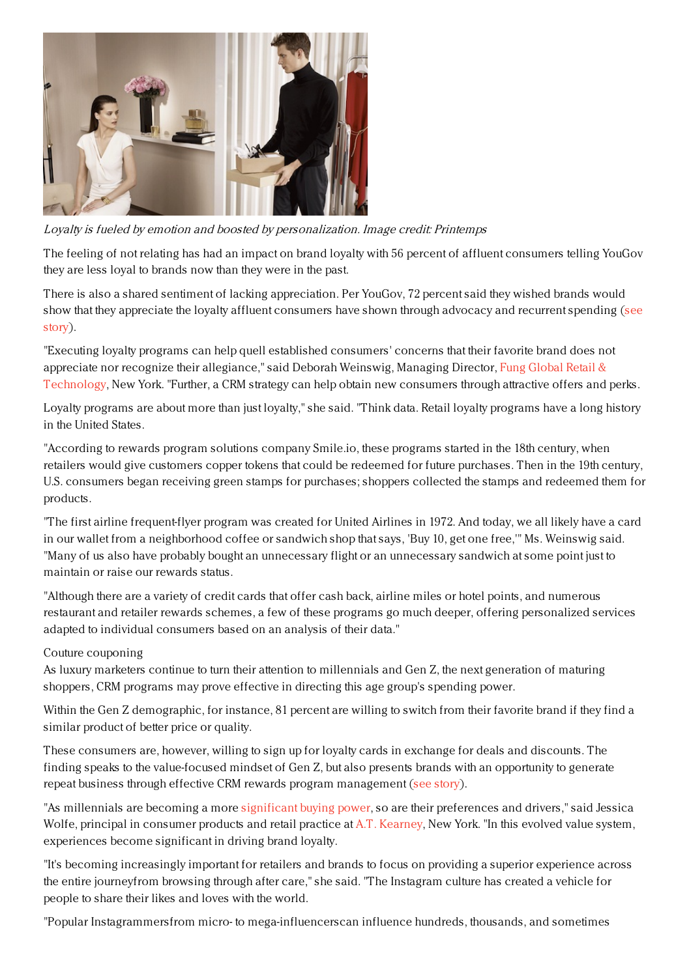

Loyalty is fueled by emotion and boosted by personalization. Image credit: Printemps

The feeling of not relating has had an impact on brand loyalty with 56 percent of affluent consumers telling YouGov they are less loyal to brands now than they were in the past.

There is also a shared sentiment of lacking appreciation. Per YouGov, 72 percent said they wished brands would show that they appreciate the loyalty affluent [consumers](https://www.luxurydaily.com/more-than-half-of-affluents-say-relating-to-a-brand-is-important-for-loyalty-yougov/) have shown through advocacy and recurrent spending (see story).

"Executing loyalty programs can help quell established consumers' concerns that their favorite brand does not appreciate nor recognize their allegiance," said Deborah Weinswig, Managing Director, Fung Global Retail & [Technology,](https://www.fungglobalretailtech.com/) New York. "Further, a CRM strategy can help obtain new consumers through attractive offers and perks.

Loyalty programs are about more than just loyalty," she said. "Think data. Retail loyalty programs have a long history in the United States.

"According to rewards program solutions company Smile.io, these programs started in the 18th century, when retailers would give customers copper tokens that could be redeemed for future purchases. Then in the 19th century, U.S. consumers began receiving green stamps for purchases; shoppers collected the stamps and redeemed them for products.

"The first airline frequent-flyer program was created for United Airlines in 1972. And today, we all likely have a card in our wallet from a neighborhood coffee or sandwich shop that says, 'Buy 10, get one free,'" Ms. Weinswig said. "Many of us also have probably bought an unnecessary flight or an unnecessary sandwich at some point just to maintain or raise our rewards status.

"Although there are a variety of credit cards that offer cash back, airline miles or hotel points, and numerous restaurant and retailer rewards schemes, a few of these programs go much deeper, offering personalized services adapted to individual consumers based on an analysis of their data."

## Couture couponing

As luxury marketers continue to turn their attention to millennials and Gen Z, the next generation of maturing shoppers, CRM programs may prove effective in directing this age group's spending power.

Within the Gen Z demographic, for instance, 81 percent are willing to switch from their favorite brand if they find a similar product of better price or quality.

These consumers are, however, willing to sign up for loyalty cards in exchange for deals and discounts. The finding speaks to the value-focused mindset of Gen Z, but also presents brands with an opportunity to generate repeat business through effective CRM rewards program management (see [story](https://www.luxurydaily.com/gen-z-lacks-brand-loyalty-seeks-social-media-engagement-open-to-loyalty-programs-report/)).

"As millennials are becoming a more [significant](https://www.atkearney.com/documents/20152/817759/Americas-Next-Commercial-Revolution--Influence-vs-Affluence.pdf/3f0ea876-52f0-ae06-a5b5-c10cee04fe0c) buying power, so are their preferences and drivers," said Jessica Wolfe, principal in consumer products and retail practice at A.T. [Kearney](https://www.atkearney.com/), New York. "In this evolved value system, experiences become significant in driving brand loyalty.

"It's becoming increasingly important for retailers and brands to focus on providing a superior experience across the entire journeyfrom browsing through after care," she said. "The Instagram culture has created a vehicle for people to share their likes and loves with the world.

"Popular Instagrammersfrom micro- to mega-influencerscan influence hundreds, thousands, and sometimes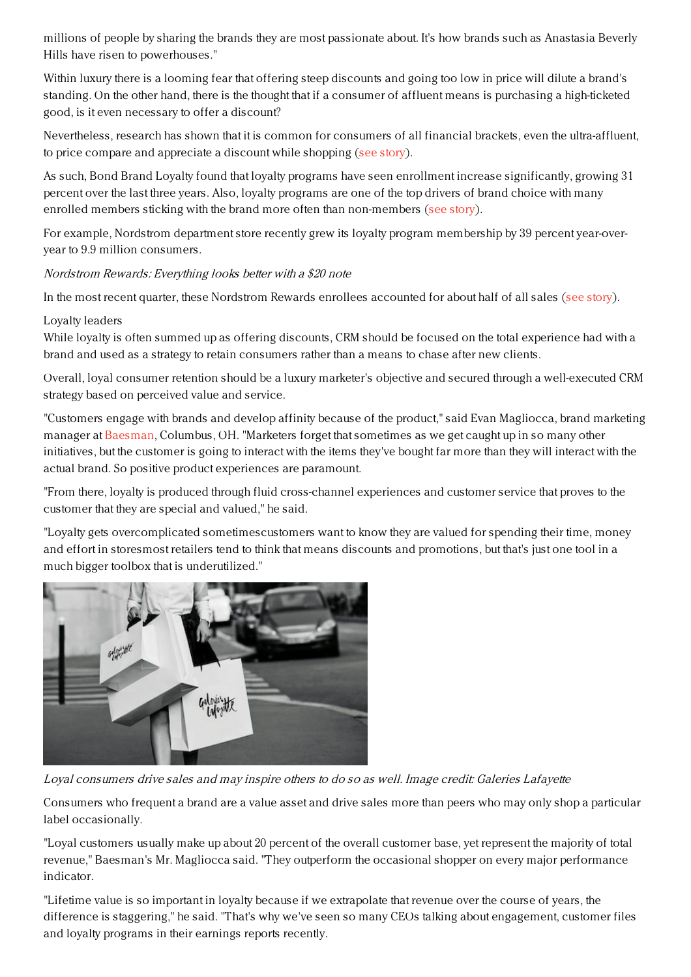millions of people by sharing the brands they are most passionate about. It's how brands such as Anastasia Beverly Hills have risen to powerhouses."

Within luxury there is a looming fear that offering steep discounts and going too low in price will dilute a brand's standing. On the other hand, there is the thought that if a consumer of affluent means is purchasing a high-ticketed good, is it even necessary to offer a discount?

Nevertheless, research has shown that it is common for consumers of all financial brackets, even the ultra-affluent, to price compare and appreciate a discount while shopping (see [story](https://www.luxurydaily.com/57pc-of-affluent-consumers-look-to-shop-during-sales-report/)).

As such, Bond Brand Loyalty found that loyalty programs have seen enrollment increase significantly, growing 31 percent over the last three years. Also, loyalty programs are one of the top drivers of brand choice with many enrolled members sticking with the brand more often than non-members (see [story](https://www.luxurydaily.com/loyalty-enrollment-programs-see-31pc-growth-but-opportunities-remain-report/)).

For example, Nordstrom department store recently grew its loyalty program membership by 39 percent year-overyear to 9.9 million consumers.

Nordstrom Rewards: Everything looks better with <sup>a</sup> \$20 note

In the most recent quarter, these Nordstrom Rewards enrollees accounted for about half of all sales (see [story](https://www.luxurydaily.com/nordstroms-q3-net-sales-up-2pc/)).

# Loyalty leaders

While loyalty is often summed up as offering discounts, CRM should be focused on the total experience had with a brand and used as a strategy to retain consumers rather than a means to chase after new clients.

Overall, loyal consumer retention should be a luxury marketer's objective and secured through a well-executed CRM strategy based on perceived value and service.

"Customers engage with brands and develop affinity because of the product," said Evan Magliocca, brand marketing manager at [Baesman](http://www.baesman.com/), Columbus, OH. "Marketers forget that sometimes as we get caught up in so many other initiatives, but the customer is going to interact with the items they've bought far more than they will interact with the actual brand. So positive product experiences are paramount.

"From there, loyalty is produced through fluid cross-channel experiences and customer service that proves to the customer that they are special and valued," he said.

"Loyalty gets overcomplicated sometimescustomers want to know they are valued for spending their time, money and effort in storesmost retailers tend to think that means discounts and promotions, but that's just one tool in a much bigger toolbox that is underutilized."



Loyal consumers drive sales and may inspire others to do so as well. Image credit: Galeries Lafayette

Consumers who frequent a brand are a value asset and drive sales more than peers who may only shop a particular label occasionally.

"Loyal customers usually make up about 20 percent of the overall customer base, yet represent the majority of total revenue," Baesman's Mr. Magliocca said. "They outperform the occasional shopper on every major performance indicator.

"Lifetime value is so important in loyalty because if we extrapolate that revenue over the course of years, the difference is staggering," he said. "That's why we've seen so many CEOs talking about engagement, customer files and loyalty programs in their earnings reports recently.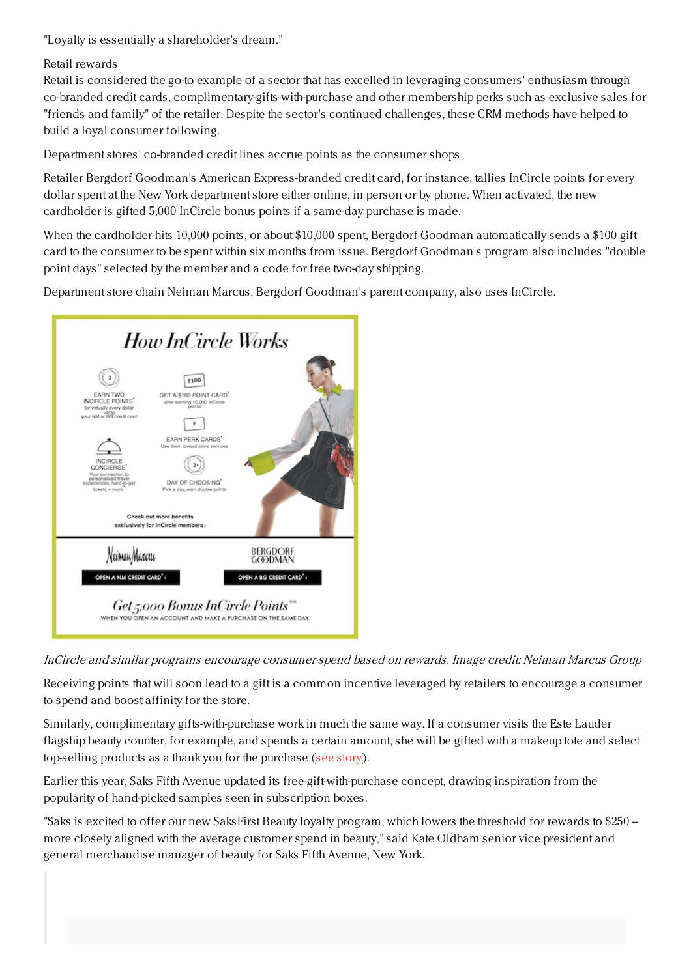"Loyalty is essentially a shareholder's dream."

# Retail rewards

Retail is considered the go-to example of a sector that has excelled in leveraging consumers' enthusiasm through co-branded credit cards, complimentary-gifts-with-purchase and other membership perks such as exclusive sales for "friends and family" of the retailer. Despite the sector's continued challenges, these CRM methods have helped to build a loyal consumer following.

Department stores' co-branded credit lines accrue points as the consumer shops.

Retailer Bergdorf Goodman's American Express-branded credit card, for instance, tallies InCircle points for every dollar spent at the New York department store either online, in person or by phone. When activated, the new cardholder is gifted 5,000 InCircle bonus points if a same-day purchase is made.

When the cardholder hits 10,000 points, or about \$10,000 spent, Bergdorf Goodman automatically sends a \$100 gift card to the consumer to be spent within six months from issue. Bergdorf Goodman's program also includes "double point days" selected by the member and a code for free two-day shipping.

Department store chain Neiman Marcus, Bergdorf Goodman's parent company, also uses InCircle.



InCircle and similar programs encourage consumer spend based on rewards. Image credit: Neiman Marcus Group

Receiving points that will soon lead to a gift is a common incentive leveraged by retailers to encourage a consumer to spend and boost affinity for the store.

Similarly, complimentary gifts-with-purchase work in much the same way. If a consumer visits the Este Lauder flagship beauty counter, for example, and spends a certain amount, she will be gifted with a makeup tote and select top-selling products as a thank you for the purchase (see [story](https://www.luxurydaily.com/38918/)).

Earlier this year, Saks Fifth Avenue updated its free-gift-with-purchase concept, drawing inspiration from the popularity of hand-picked samples seen in subscription boxes.

"Saks is excited to offer our new SaksFirst Beauty loyalty program, which lowers the threshold for rewards to \$250 -more closely aligned with the average customer spend in beauty," said Kate Oldham senior vice president and general merchandise manager of beauty for Saks Fifth Avenue, New York.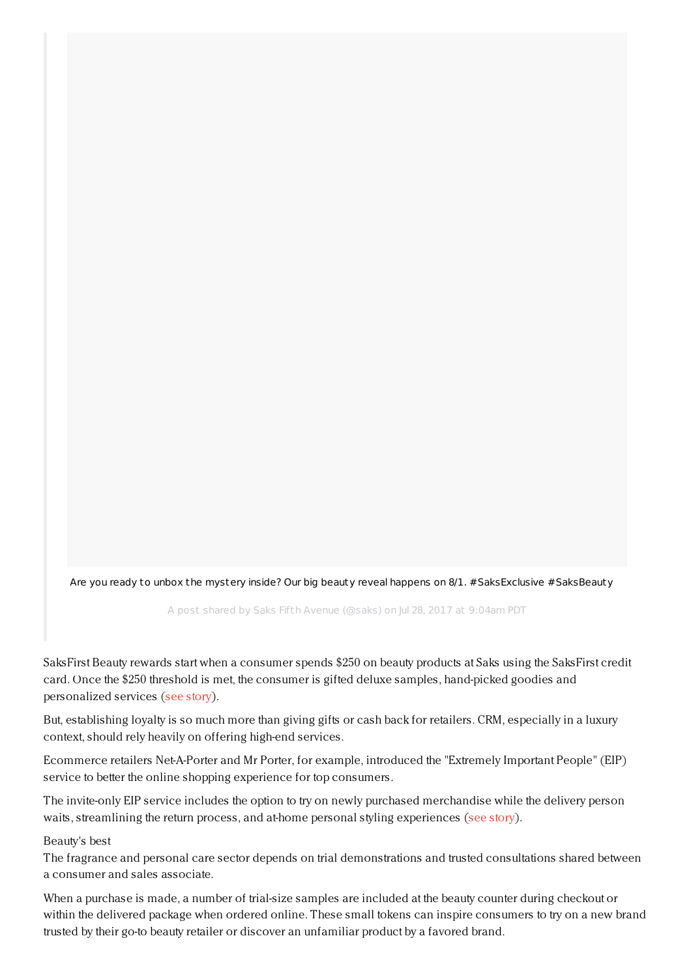Are you ready to unbox the mystery inside? Our big beauty reveal happens on 8/1. [#SaksExclusive](https://www.instagram.com/p/BXGKbeynu6W/) #SaksBeauty

A post shared by Saks Fifth Avenue (@saks) on Jul 28, 2017 at 9:04am PDT

SaksFirst Beauty rewards start when a consumer spends \$250 on beauty products at Saks using the SaksFirst credit card. Once the \$250 threshold is met, the consumer is gifted deluxe samples, hand-picked goodies and personalized services (see [story](https://www.luxurydaily.com/saks-updates-free-gift-with-purchase-concept-to-boxed-beauty-sample-model/)).

But, establishing loyalty is so much more than giving gifts or cash back for retailers. CRM, especially in a luxury context, should rely heavily on offering high-end services.

Ecommerce retailers Net-A-Porter and Mr Porter, for example, introduced the "Extremely Important People" (EIP) service to better the online shopping experience for top consumers.

The invite-only EIP service includes the option to try on newly purchased merchandise while the delivery person waits, streamlining the return process, and at-home personal styling experiences (see [story](https://www.luxurydaily.com/net-a-porter-mr-porter-cater-to-vip-clientele-with-personal-shopping-services/)).

#### Beauty's best

The fragrance and personal care sector depends on trial demonstrations and trusted consultations shared between a consumer and sales associate.

When a purchase is made, a number of trial-size samples are included at the beauty counter during checkout or within the delivered package when ordered online. These small tokens can inspire consumers to try on a new brand trusted by their go-to beauty retailer or discover an unfamiliar product by a favored brand.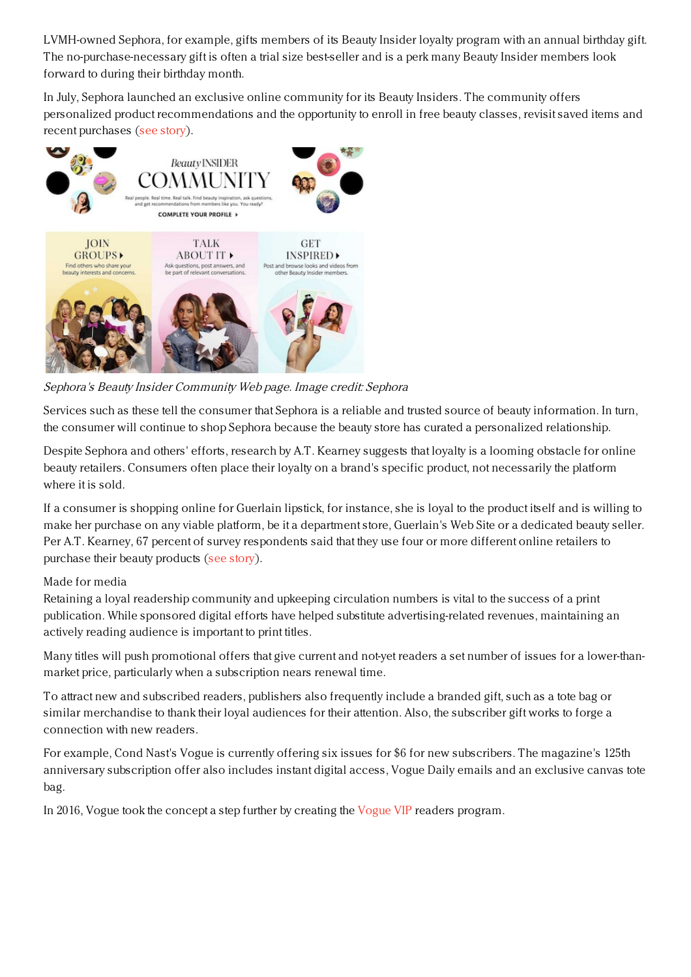LVMH-owned Sephora, for example, gifts members of its Beauty Insider loyalty program with an annual birthday gift. The no-purchase-necessary gift is often a trial size best-seller and is a perk many Beauty Insider members look forward to during their birthday month.

In July, Sephora launched an exclusive online community for its Beauty Insiders. The community offers personalized product recommendations and the opportunity to enroll in free beauty classes, revisit saved items and recent purchases (see [story](https://www.luxurydaily.com/sephora-launches-social-network-inspired-community-platform/)).



Sephora's Beauty Insider Community Web page. Image credit: Sephora

Services such as these tell the consumer that Sephora is a reliable and trusted source of beauty information. In turn, the consumer will continue to shop Sephora because the beauty store has curated a personalized relationship.

Despite Sephora and others' efforts, research by A.T. Kearney suggests that loyalty is a looming obstacle for online beauty retailers. Consumers often place their loyalty on a brand's specific product, not necessarily the platform where it is sold.

If a consumer is shopping online for Guerlain lipstick, for instance, she is loyal to the product itself and is willing to make her purchase on any viable platform, be it a department store, Guerlain's Web Site or a dedicated beauty seller. Per A.T. Kearney, 67 percent of survey respondents said that they use four or more different online retailers to purchase their beauty products (see [story](https://www.luxurydaily.com/loyalty-is-largest-obstacle-for-online-luxury-beauty-retailers-report/)).

## Made for media

Retaining a loyal readership community and upkeeping circulation numbers is vital to the success of a print publication. While sponsored digital efforts have helped substitute advertising-related revenues, maintaining an actively reading audience is important to print titles.

Many titles will push promotional offers that give current and not-yet readers a set number of issues for a lower-thanmarket price, particularly when a subscription nears renewal time.

To attract new and subscribed readers, publishers also frequently include a branded gift, such as a tote bag or similar merchandise to thank their loyal audiences for their attention. Also, the subscriber gift works to forge a connection with new readers.

For example, Cond Nast's Vogue is currently offering six issues for \$6 for new subscribers. The magazine's 125th anniversary subscription offer also includes instant digital access, Vogue Daily emails and an exclusive canvas tote bag.

In 2016, Vogue took the concept a step further by creating the [Vogue](https://www.luxurydaily.com/vogue-vip-membership-to-offer-first-hand-access-to-titles-editors/) VIP readers program.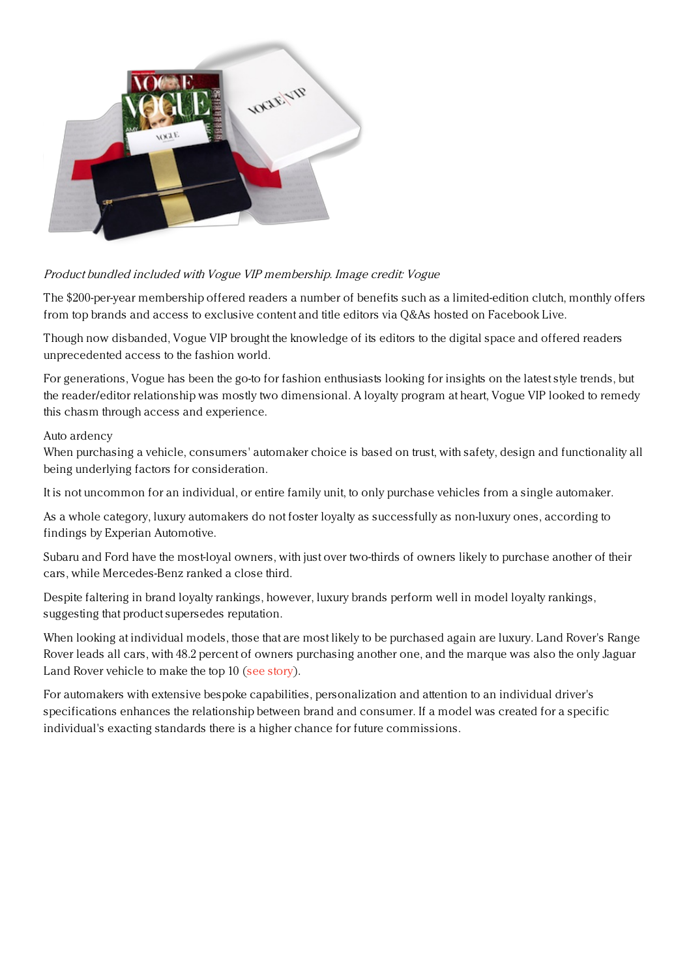

# Product bundled included with Vogue VIP membership. Image credit: Vogue

The \$200-per-year membership offered readers a number of benefits such as a limited-edition clutch, monthly offers from top brands and access to exclusive content and title editors via Q&As hosted on Facebook Live.

Though now disbanded, Vogue VIP brought the knowledge of its editors to the digital space and offered readers unprecedented access to the fashion world.

For generations, Vogue has been the go-to for fashion enthusiasts looking for insights on the latest style trends, but the reader/editor relationship was mostly two dimensional. A loyalty program at heart, Vogue VIP looked to remedy this chasm through access and experience.

#### Auto ardency

When purchasing a vehicle, consumers' automaker choice is based on trust, with safety, design and functionality all being underlying factors for consideration.

It is not uncommon for an individual, or entire family unit, to only purchase vehicles from a single automaker.

As a whole category, luxury automakers do not foster loyalty as successfully as non-luxury ones, according to findings by Experian Automotive.

Subaru and Ford have the most-loyal owners, with just over two-thirds of owners likely to purchase another of their cars, while Mercedes-Benz ranked a close third.

Despite faltering in brand loyalty rankings, however, luxury brands perform well in model loyalty rankings, suggesting that product supersedes reputation.

When looking at individual models, those that are most likely to be purchased again are luxury. Land Rover's Range Rover leads all cars, with 48.2 percent of owners purchasing another one, and the marque was also the only Jaguar Land Rover vehicle to make the top 10 (see [story](https://www.luxurydaily.com/drivers-more-loyal-to-mass-than-luxury-but-no-need-for-alarm/)).

For automakers with extensive bespoke capabilities, personalization and attention to an individual driver's specifications enhances the relationship between brand and consumer. If a model was created for a specific individual's exacting standards there is a higher chance for future commissions.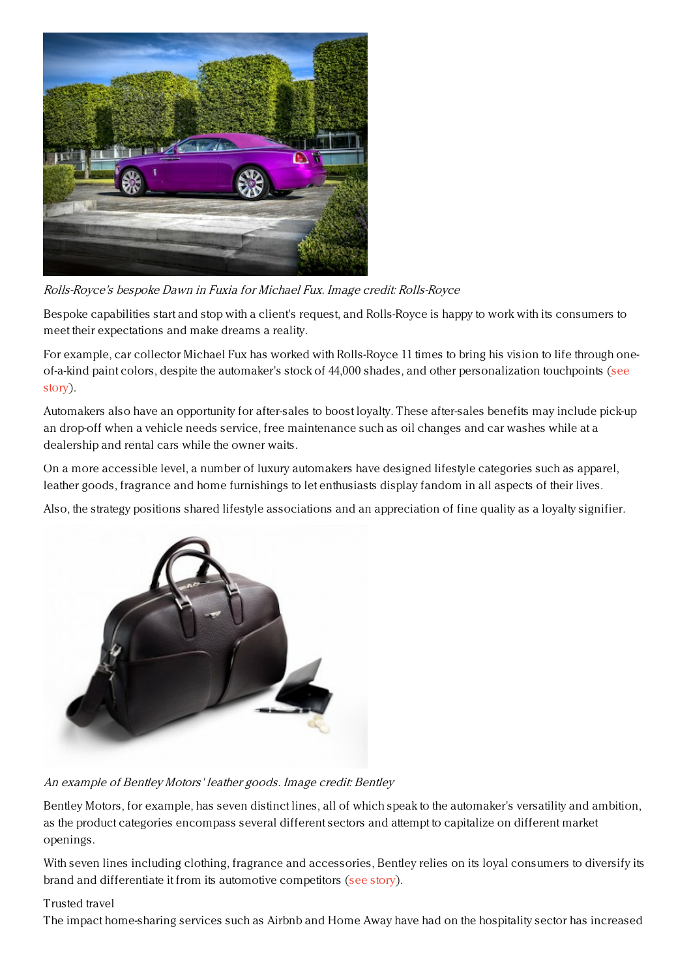

Rolls-Royce's bespoke Dawn in Fuxia for Michael Fux. Image credit: Rolls-Royce

Bespoke capabilities start and stop with a client's request, and Rolls-Royce is happy to work with its consumers to meet their expectations and make dreams a reality.

For example, car collector Michael Fux has worked with Rolls-Royce 11 times to bring his vision to life through oneof-a-kind paint colors, despite the automaker's stock of 44,000 shades, and other [personalization](https://www.luxurydaily.com/rolls-royce-deliver-true-work-of-art-for-bespoke-collector/) touchpoints (see story).

Automakers also have an opportunity for after-sales to boost loyalty. These after-sales benefits may include pick-up an drop-off when a vehicle needs service, free maintenance such as oil changes and car washes while at a dealership and rental cars while the owner waits.

On a more accessible level, a number of luxury automakers have designed lifestyle categories such as apparel, leather goods, fragrance and home furnishings to let enthusiasts display fandom in all aspects of their lives.

Also, the strategy positions shared lifestyle associations and an appreciation of fine quality as a loyalty signifier.



An example of Bentley Motors' leather goods. Image credit: Bentley

Bentley Motors, for example, has seven distinct lines, all of which speak to the automaker's versatility and ambition, as the product categories encompass several different sectors and attempt to capitalize on different market openings.

With seven lines including clothing, fragrance and accessories, Bentley relies on its loyal consumers to diversify its brand and differentiate it from its automotive competitors (see [story](https://www.luxurydaily.com/bentley-breaks-away-from-competition-with-new-luxury-collection/)).

# Trusted travel

The impact home-sharing services such as Airbnb and Home Away have had on the hospitality sector has increased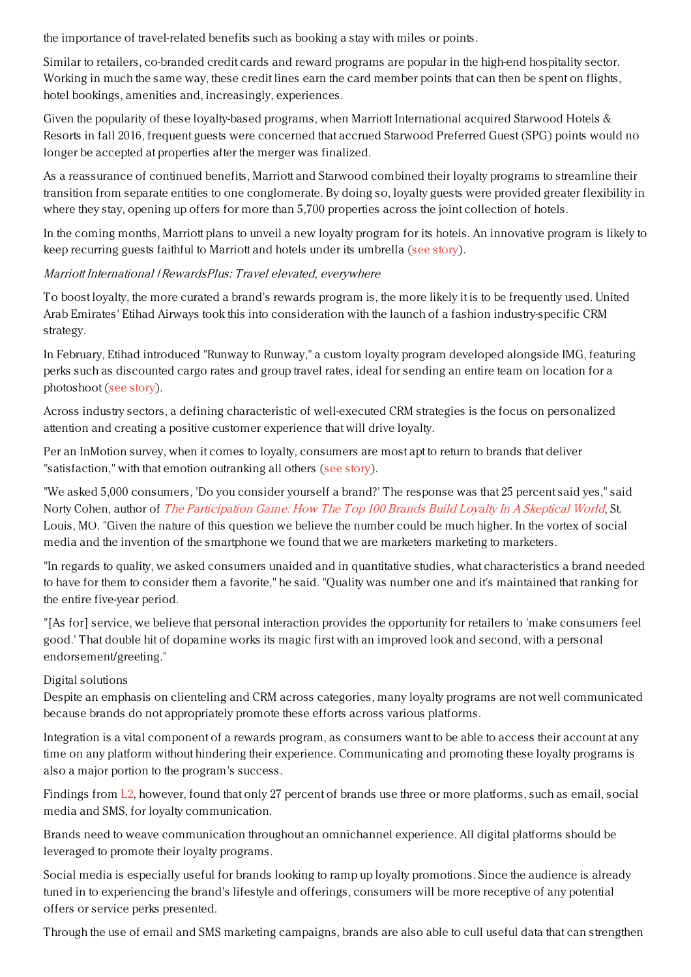the importance of travel-related benefits such as booking a stay with miles or points.

Similar to retailers, co-branded credit cards and reward programs are popular in the high-end hospitality sector. Working in much the same way, these credit lines earn the card member points that can then be spent on flights, hotel bookings, amenities and, increasingly, experiences.

Given the popularity of these loyalty-based programs, when Marriott International acquired Starwood Hotels & Resorts in fall 2016, frequent guests were concerned that accrued Starwood Preferred Guest (SPG) points would no longer be accepted at properties after the merger was finalized.

As a reassurance of continued benefits, Marriott and Starwood combined their loyalty programs to streamline their transition from separate entities to one conglomerate. By doing so, loyalty guests were provided greater flexibility in where they stay, opening up offers for more than 5,700 properties across the joint collection of hotels.

In the coming months, Marriott plans to unveil a new loyalty program for its hotels. An innovative program is likely to keep recurring guests faithful to Marriott and hotels under its umbrella (see [story](https://www.luxurydaily.com/marriott-international-starwoods-perfect-marriage-keeps-finger-on-pulse-of-affluent-travelers/)).

Marriott International | RewardsPlus: Travel elevated, everywhere

To boost loyalty, the more curated a brand's rewards program is, the more likely it is to be frequently used. United Arab Emirates' Etihad Airways took this into consideration with the launch of a fashion industry-specific CRM strategy.

In February, Etihad introduced "Runway to Runway," a custom loyalty program developed alongside IMG, featuring perks such as discounted cargo rates and group travel rates, ideal for sending an entire team on location for a photoshoot (see [story](https://www.luxurydaily.com/etihad-builds-bespoke-loyalty-program-around-fashion-industrys-demands/)).

Across industry sectors, a defining characteristic of well-executed CRM strategies is the focus on personalized attention and creating a positive customer experience that will drive loyalty.

Per an InMotion survey, when it comes to loyalty, consumers are most apt to return to brands that deliver "satisfaction," with that emotion outranking all others (see [story](https://www.luxurydaily.com/win-customer-loyalty-through-personalized-interactions-across-purchase-journey/)).

"We asked 5,000 consumers, 'Do you consider yourself a brand?' The response was that 25 percent said yes," said Norty Cohen, author of The [Participation](http://tcismith.pr-optout.com/Tracking.aspx?Data=HHL%253d8434%253f3-%253eLCE58451%2540%2526SDG%253c90%253a.&RE=MC&RI=5150564&Preview=False&DistributionActionID=81854&Action=Follow+Link) Game: How The Top 100 Brands Build Loyalty In A Skeptical World, St. Louis, MO. "Given the nature of this question we believe the number could be much higher. In the vortex of social media and the invention of the smartphone we found that we are marketers marketing to marketers.

"In regards to quality, we asked consumers unaided and in quantitative studies, what characteristics a brand needed to have for them to consider them a favorite," he said. "Quality was number one and it's maintained that ranking for the entire five-year period.

"[As for] service, we believe that personal interaction provides the opportunity for retailers to 'make consumers feel good.' That double hit of dopamine works its magic first with an improved look and second, with a personal endorsement/greeting."

# Digital solutions

Despite an emphasis on clienteling and CRM across categories, many loyalty programs are not well communicated because brands do not appropriately promote these efforts across various platforms.

Integration is a vital component of a rewards program, as consumers want to be able to access their account at any time on any platform without hindering their experience. Communicating and promoting these loyalty programs is also a major portion to the program's success.

Findings from [L2](https://www.luxurydaily.com/communication-from-brands-is-key-with-loyalty-programs-l2/), however, found that only 27 percent of brands use three or more platforms, such as email, social media and SMS, for loyalty communication.

Brands need to weave communication throughout an omnichannel experience. All digital platforms should be leveraged to promote their loyalty programs.

Social media is especially useful for brands looking to ramp up loyalty promotions. Since the audience is already tuned in to experiencing the brand's lifestyle and offerings, consumers will be more receptive of any potential offers or service perks presented.

Through the use of email and SMS marketing campaigns, brands are also able to cull useful data that can strengthen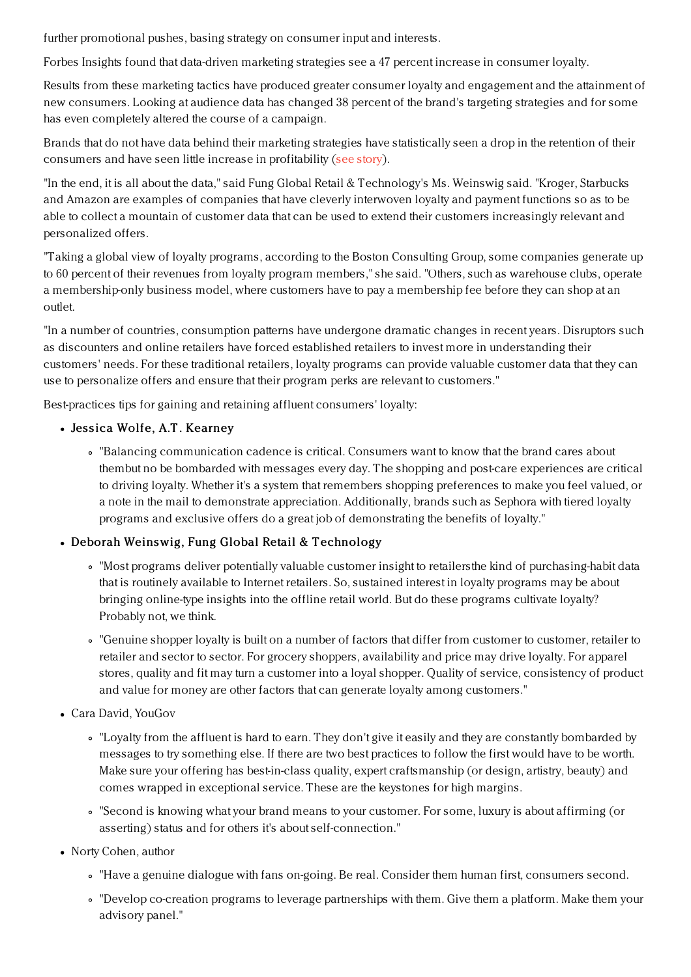further promotional pushes, basing strategy on consumer input and interests.

Forbes Insights found that data-driven marketing strategies see a 47 percent increase in consumer loyalty.

Results from these marketing tactics have produced greater consumer loyalty and engagement and the attainment of new consumers. Looking at audience data has changed 38 percent of the brand's targeting strategies and for some has even completely altered the course of a campaign.

Brands that do not have data behind their marketing strategies have statistically seen a drop in the retention of their consumers and have seen little increase in profitability (see [story](https://www.luxurydaily.com/data-driven-marketing-strategies-see-47pc-increase-in-consumer-loyalty/)).

"In the end, it is all about the data," said Fung Global Retail & Technology's Ms. Weinswig said. "Kroger, Starbucks and Amazon are examples of companies that have cleverly interwoven loyalty and payment functions so as to be able to collect a mountain of customer data that can be used to extend their customers increasingly relevant and personalized offers.

"Taking a global view of loyalty programs, according to the Boston Consulting Group, some companies generate up to 60 percent of their revenues from loyalty program members," she said. "Others, such as warehouse clubs, operate a membership-only business model, where customers have to pay a membership fee before they can shop at an outlet.

"In a number of countries, consumption patterns have undergone dramatic changes in recent years. Disruptors such as discounters and online retailers have forced established retailers to invest more in understanding their customers' needs. For these traditional retailers, loyalty programs can provide valuable customer data that they can use to personalize offers and ensure that their program perks are relevant to customers."

Best-practices tips for gaining and retaining affluent consumers' loyalty:

- Jessica Wolfe, A.T. Kearney
	- "Balancing communication cadence is critical. Consumers want to know that the brand cares about thembut no be bombarded with messages every day. The shopping and post-care experiences are critical to driving loyalty. Whether it's a system that remembers shopping preferences to make you feel valued, or a note in the mail to demonstrate appreciation. Additionally, brands such as Sephora with tiered loyalty programs and exclusive offers do a great job of demonstrating the benefits of loyalty."

# • Deborah Weinswig, Fung Global Retail & Technology

- "Most programs deliver potentially valuable customer insight to retailersthe kind of purchasing-habit data that is routinely available to Internet retailers. So, sustained interest in loyalty programs may be about bringing online-type insights into the offline retail world. But do these programs cultivate loyalty? Probably not, we think.
- "Genuine shopper loyalty is built on a number of factors that differ from customer to customer, retailer to retailer and sector to sector. For grocery shoppers, availability and price may drive loyalty. For apparel stores, quality and fit may turn a customer into a loyal shopper. Quality of service, consistency of product and value for money are other factors that can generate loyalty among customers."
- Cara David, YouGov
	- "Loyalty from the affluent is hard to earn. They don't give it easily and they are constantly bombarded by messages to try something else. If there are two best practices to follow the first would have to be worth. Make sure your offering has best-in-class quality, expert craftsmanship (or design, artistry, beauty) and comes wrapped in exceptional service. These are the keystones for high margins.
	- "Second is knowing what your brand means to your customer. For some, luxury is about affirming (or asserting) status and for others it's about self-connection."
- Norty Cohen, author
	- "Have a genuine dialogue with fans on-going. Be real. Consider them human first, consumers second.
	- "Develop co-creation programs to leverage partnerships with them. Give them a platform. Make them your advisory panel."